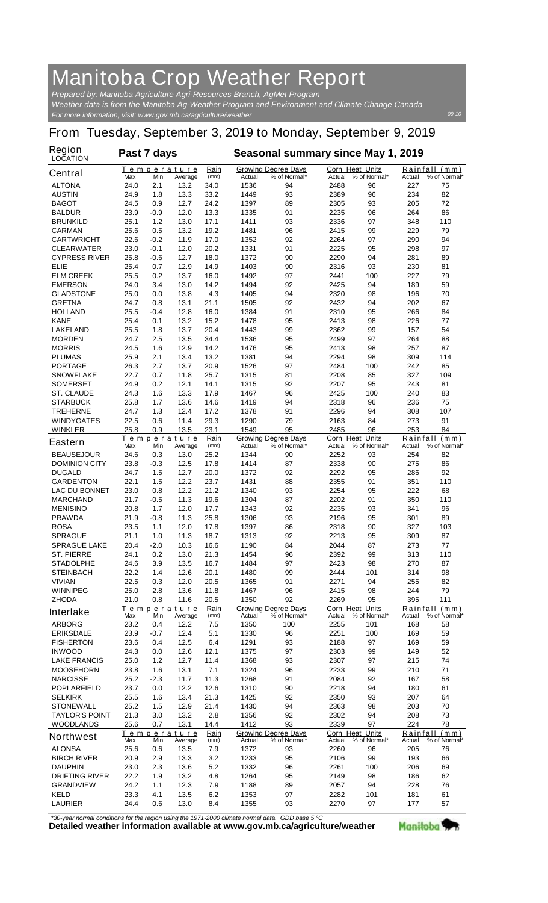## **Manitoba Crop Weather Report**

*For more information, visit: www.gov.mb.ca/agriculture/weather Prepared by: Manitoba Agriculture Agri-Resources Branch, AgMet Program Weather data is from the Manitoba Ag-Weather Program and Environment and Climate Change Canada*

## **From Tuesday, September 3, 2019 to Monday, September 9, 2019**

| <b>Region</b><br><b>LOCATION</b>          | Past 7 days  |              |                               |              | Seasonal summary since May 1, 2019 |                                            |                                  |              |                    |                               |
|-------------------------------------------|--------------|--------------|-------------------------------|--------------|------------------------------------|--------------------------------------------|----------------------------------|--------------|--------------------|-------------------------------|
| <b>Central</b>                            | Max          | Min          | <b>Temperature</b><br>Average | Rain<br>(mm) | Actual                             | <b>Growing Degree Days</b><br>% of Normal* | <b>Corn Heat Units</b><br>Actual | % of Normal* | Actual             | Rainfall (mm)<br>% of Normal* |
| <b>ALTONA</b>                             | 24.0         | 2.1          | 13.2                          | 34.0         | 1536                               | 94                                         | 2488                             | 96           | 227                | 75                            |
| <b>AUSTIN</b>                             | 24.9         | 1.8          | 13.3                          | 33.2         | 1449                               | 93                                         | 2389                             | 96           | 234                | 82                            |
| <b>BAGOT</b>                              | 24.5         | 0.9          | 12.7                          | 24.2         | 1397                               | 89                                         | 2305                             | 93           | 205                | 72                            |
| <b>BALDUR</b>                             | 23.9         | -0.9         | 12.0                          | 13.3         | 1335                               | 91                                         | 2235                             | 96           | 264                | 86                            |
| <b>BRUNKILD</b>                           | 25.1         | 1.2          | 13.0                          | 17.1         | 1411                               | 93                                         | 2336                             | 97           | 348                | 110                           |
| <b>CARMAN</b>                             | 25.6         | 0.5          | 13.2                          | 19.2         | 1481                               | 96                                         | 2415                             | 99           | 229                | 79                            |
| <b>CARTWRIGHT</b>                         | 22.6         | -0.2         | 11.9                          | 17.0         | 1352                               | 92                                         | 2264                             | 97           | 290                | 94                            |
| <b>CLEARWATER</b><br><b>CYPRESS RIVER</b> | 23.0<br>25.8 | -0.1<br>-0.6 | 12.0<br>12.7                  | 20.2<br>18.0 | 1331<br>1372                       | 91<br>90                                   | 2225<br>2290                     | 95<br>94     | 298<br>281         | 97<br>89                      |
| <b>ELIE</b>                               | 25.4         | 0.7          | 12.9                          | 14.9         | 1403                               | 90                                         | 2316                             | 93           | 230                | 81                            |
| <b>ELM CREEK</b>                          | 25.5         | 0.2          | 13.7                          | 16.0         | 1492                               | 97                                         | 2441                             | 100          | 227                | 79                            |
| <b>EMERSON</b>                            | 24.0         | 3.4          | 13.0                          | 14.2         | 1494                               | 92                                         | 2425                             | 94           | 189                | 59                            |
| <b>GLADSTONE</b>                          | 25.0         | 0.0          | 13.8                          | 4.3          | 1405                               | 94                                         | 2320                             | 98           | 196                | 70                            |
| <b>GRETNA</b>                             | 24.7         | 0.8          | 13.1                          | 21.1         | 1505                               | 92                                         | 2432                             | 94           | 202                | 67                            |
| <b>HOLLAND</b>                            | 25.5         | -0.4         | 12.8                          | 16.0         | 1384                               | 91                                         | 2310                             | 95           | 266                | 84                            |
| <b>KANE</b>                               | 25.4         | 0.1          | 13.2                          | 15.2         | 1478                               | 95                                         | 2413                             | 98           | 226                | 77                            |
| <b>LAKELAND</b>                           | 25.5         | 1.8          | 13.7                          | 20.4         | 1443                               | 99                                         | 2362                             | 99           | 157                | 54<br>88                      |
| <b>MORDEN</b><br><b>MORRIS</b>            | 24.7<br>24.5 | 2.5<br>1.6   | 13.5<br>12.9                  | 34.4<br>14.2 | 1536<br>1476                       | 95<br>95                                   | 2499<br>2413                     | 97<br>98     | 264<br>257         | 87                            |
| <b>PLUMAS</b>                             | 25.9         | 2.1          | 13.4                          | 13.2         | 1381                               | 94                                         | 2294                             | 98           | 309                | 114                           |
| <b>PORTAGE</b>                            | 26.3         | 2.7          | 13.7                          | 20.9         | 1526                               | 97                                         | 2484                             | 100          | 242                | 85                            |
| <b>SNOWFLAKE</b>                          | 22.7         | 0.7          | 11.8                          | 25.7         | 1315                               | 81                                         | 2208                             | 85           | 327                | 109                           |
| <b>SOMERSET</b>                           | 24.9         | 0.2          | 12.1                          | 14.1         | 1315                               | 92                                         | 2207                             | 95           | 243                | 81                            |
| <b>ST. CLAUDE</b>                         | 24.3         | 1.6          | 13.3                          | 17.9         | 1467                               | 96                                         | 2425                             | 100          | 240                | 83                            |
| <b>STARBUCK</b>                           | 25.8         | 1.7          | 13.6                          | 14.6         | 1419                               | 94                                         | 2318                             | 96           | 236                | 75                            |
| <b>TREHERNE</b>                           | 24.7         | 1.3          | 12.4                          | 17.2         | 1378                               | 91                                         | 2296                             | 94           | 308                | 107                           |
| <b>WINDYGATES</b>                         | 22.5<br>25.8 | 0.6          | 11.4<br>13.5                  | 29.3<br>23.1 | 1290<br>1549                       | 79<br>95                                   | 2163                             | 84<br>96     | 273<br>253         | 91                            |
| <b>WINKLER</b>                            |              | 0.9          | Temperature                   | Rain         |                                    | <b>Growing Degree Days</b>                 | 2485<br><b>Corn Heat Units</b>   |              |                    | 84<br>Rainfall (mm)           |
| <b>Eastern</b>                            | Max          | Min          | Average                       | (mm)         | Actual                             | % of Normal*                               | Actual                           | % of Normal* | Actual             | % of Normal*                  |
| <b>BEAUSEJOUR</b>                         | 24.6         | 0.3          | 13.0                          | 25.2         | 1344                               | 90                                         | 2252                             | 93           | 254                | 82                            |
| <b>DOMINION CITY</b>                      | 23.8         | -0.3         | 12.5                          | 17.8         | 1414                               | 87                                         | 2338                             | 90           | 275                | 86                            |
| <b>DUGALD</b>                             | 24.7         | 1.5          | 12.7                          | 20.0         | 1372                               | 92                                         | 2292                             | 95           | 286                | 92                            |
| <b>GARDENTON</b>                          | 22.1         | 1.5          | 12.2                          | 23.7         | 1431                               | 88                                         | 2355                             | 91           | 351                | 110                           |
| <b>LAC DU BONNET</b><br><b>MARCHAND</b>   | 23.0<br>21.7 | 0.8<br>-0.5  | 12.2<br>11.3                  | 21.2<br>19.6 | 1340<br>1304                       | 93<br>87                                   | 2254<br>2202                     | 95<br>91     | 222<br>350         | 68<br>110                     |
| <b>MENISINO</b>                           | 20.8         | 1.7          | 12.0                          | 17.7         | 1343                               | 92                                         | 2235                             | 93           | 341                | 96                            |
| <b>PRAWDA</b>                             | 21.9         | -0.8         | 11.3                          | 25.8         | 1306                               | 93                                         | 2196                             | 95           | 301                | 89                            |
| <b>ROSA</b>                               | 23.5         | 1.1          | 12.0                          | 17.8         | 1397                               | 86                                         | 2318                             | 90           | 327                | 103                           |
| <b>SPRAGUE</b>                            | 21.1         | 1.0          | 11.3                          | 18.7         | 1313                               | 92                                         | 2213                             | 95           | 309                | 87                            |
| <b>SPRAGUE LAKE</b>                       | 20.4         | $-2.0$       | 10.3                          | 16.6         | 1190                               | 84                                         | 2044                             | 87           | 273                | 77                            |
| <b>ST. PIERRE</b>                         | 24.1         | 0.2          | 13.0                          | 21.3         | 1454                               | 96                                         | 2392                             | 99           | 313                | 110                           |
| <b>STADOLPHE</b>                          | 24.6         | 3.9          | 13.5                          | 16.7         | 1484                               | 97                                         | 2423                             | 98           | 270                | 87                            |
| <b>STEINBACH</b>                          | 22.2         | 1.4          | 12.6                          | 20.1         | 1480                               | 99                                         | 2444<br>2271                     | 101          | 314                | 98                            |
| <b>VIVIAN</b><br><b>WINNIPEG</b>          | 22.5<br>25.0 | 0.3<br>2.8   | 12.0<br>13.6                  | 20.5<br>11.8 | 1365<br>1467                       | 91<br>96                                   | 2415                             | 94<br>98     | 255<br>244         | 82<br>79                      |
| <b>ZHODA</b>                              | 21.0         | 0.8          | 11.6                          | 20.5         | 1350                               | 92                                         | 2269                             | 95           | 395                | 111                           |
|                                           |              |              | <b>Temperature</b>            | Rain         |                                    | <b>Growing Degree Days</b>                 | <b>Corn Heat Units</b>           |              |                    | Rainfall (mm)                 |
| <b>Interlake</b>                          | Max          | Min          | Average                       | (mm)         | Actual                             | % of Normal*                               | Actual                           | % of Normal* | Actual             | % of Normal*                  |
| <b>ARBORG</b>                             | 23.2         | 0.4          | 12.2                          | 7.5          | 1350                               | 100                                        | 2255                             | 101          | 168                | 58                            |
| <b>ERIKSDALE</b>                          | 23.9         | -0.7         | 12.4                          | 5.1          | 1330                               | 96                                         | 2251                             | 100          | 169                | 59                            |
| <b>FISHERTON</b><br><b>INWOOD</b>         | 23.6<br>24.3 | 0.4<br>0.0   | 12.5<br>12.6                  | 6.4<br>12.1  | 1291<br>1375                       | 93<br>97                                   | 2188<br>2303                     | 97<br>99     | 169<br>149         | 59<br>52                      |
| <b>LAKE FRANCIS</b>                       | 25.0         | 1.2          | 12.7                          | 11.4         | 1368                               | 93                                         | 2307                             | 97           | 215                | 74                            |
| <b>MOOSEHORN</b>                          | 23.8         | 1.6          | 13.1                          | 7.1          | 1324                               | 96                                         | 2233                             | 99           | 210                | 71                            |
| <b>NARCISSE</b>                           | 25.2         | -2.3         | 11.7                          | 11.3         | 1268                               | 91                                         | 2084                             | 92           | 167                | 58                            |
| <b>POPLARFIELD</b>                        | 23.7         | 0.0          | 12.2                          | 12.6         | 1310                               | 90                                         | 2218                             | 94           | 180                | 61                            |
| <b>SELKIRK</b>                            | 25.5         | 1.6          | 13.4                          | 21.3         | 1425                               | 92                                         | 2350                             | 93           | 207                | 64                            |
| <b>STONEWALL</b>                          | 25.2         | 1.5          | 12.9                          | 21.4         | 1430                               | 94                                         | 2363                             | 98           | 203                | 70                            |
| <b>TAYLOR'S POINT</b>                     | 21.3         | 3.0          | 13.2                          | 2.8          | 1356                               | 92                                         | 2302                             | 94           | 208                | 73                            |
| <b>WOODLANDS</b>                          | 25.6         | 0.7          | 13.1                          | 14.4         | 1412                               | 93                                         | 2339                             | 97           | 224                | 78                            |
| <b>Northwest</b>                          | Max          | Min          | Temperature<br>Average        | Rain<br>(mm) | Actual                             | <b>Growing Degree Days</b><br>% of Normal* | Corn Heat Units<br>Actual        | % of Normal* | Rainfall<br>Actual | (mm)<br>% of Normal*          |
| <b>ALONSA</b>                             | 25.6         | 0.6          | 13.5                          | 7.9          | 1372                               | 93                                         | 2260                             | 96           | 205                | 76                            |
| <b>BIRCH RIVER</b>                        | 20.9         | 2.9          | 13.3                          | 3.2          | 1233                               | 95                                         | 2106                             | 99           | 193                | 66                            |
| <b>DAUPHIN</b>                            | 23.0         | 2.3          | 13.6                          | 5.2          | 1332                               | 96                                         | 2261                             | 100          | 206                | 69                            |
| <b>DRIFTING RIVER</b>                     | 22.2         | 1.9          | 13.2                          | 4.8          | 1264                               | 95                                         | 2149                             | 98           | 186                | 62                            |
| <b>GRANDVIEW</b>                          | 24.2         | 1.1          | 12.3                          | 7.9          | 1188                               | 89                                         | 2057                             | 94           | 228                | 76                            |
| <b>KELD</b>                               | 23.3         | 4.1          | 13.5                          | 6.2          | 1353                               | 97                                         | 2282                             | 101          | 181                | 61                            |
| <b>LAURIER</b>                            | 24.4         | 0.6          | 13.0                          | 8.4          | 1355                               | 93                                         | 2270                             | 97           | 177                | 57                            |

*\*30-year normal conditions for the region using the 1971-2000 climate normal data. GDD base 5 °C*<br>Detailed weather information available at www.gov.mb.ca/agriculture/weather